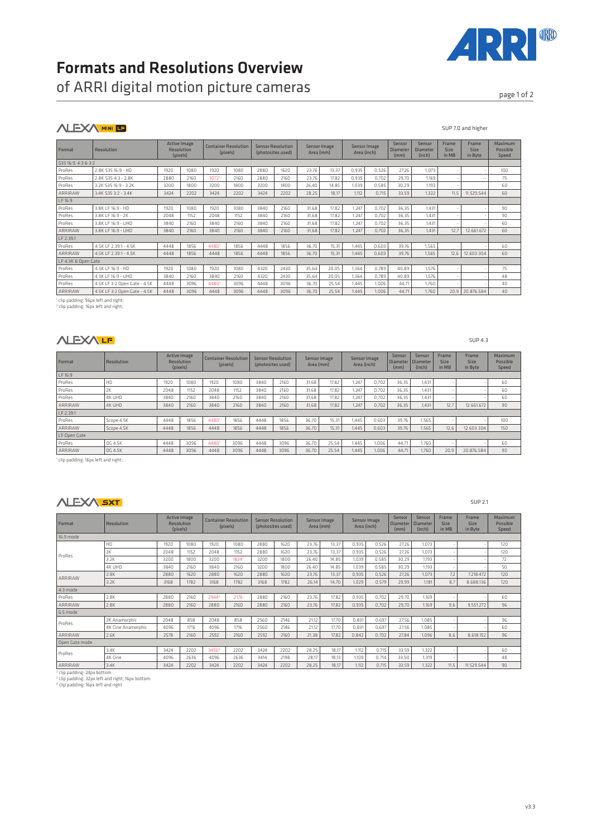# Formats and Resolutions Overview

of ARRI digital motion picture cameras page 10f 2

## **ALEXA MINI LE**

| Format              | Resolution                   | <b>Active Image</b><br>Resolution<br>(pixels) |      |                   | <b>Container Resolution</b><br>(pixels) | <b>Sensor Resolution</b><br>(photosites used) |      | Sensor Image<br>Area (mm) |       | Sensor Image<br>Area (inch) |       | Sensor<br>Diameter<br>(mm) | Sensor<br><b>Diameter</b><br>(inch) | Frame<br>Size<br>in MB | Frame<br>Size<br>in Byte | Maximum<br>Possible<br>Speed |
|---------------------|------------------------------|-----------------------------------------------|------|-------------------|-----------------------------------------|-----------------------------------------------|------|---------------------------|-------|-----------------------------|-------|----------------------------|-------------------------------------|------------------------|--------------------------|------------------------------|
| 535 16:9, 4:3 & 3:2 |                              |                                               |      |                   |                                         |                                               |      |                           |       |                             |       |                            |                                     |                        |                          |                              |
| ProRes              | 2.8K 535 16:9 - HD           | 1920                                          | 1080 | 1920              | 1080                                    | 2880                                          | 1620 | 23,76                     | 13,37 | 0,935                       | 0,526 | 27,26                      | 1,073                               |                        |                          | 100                          |
| ProRes              | 2.8K 535 4:3 - 2.8K          | 2880                                          | 2160 | 3072 <sup>1</sup> | 2160                                    | 2880                                          | 2160 | 23.76                     | 17.82 | 0.935                       | 0.702 | 29.70                      | 1.169                               |                        | $\sim$ $-$               | 75                           |
| ProRes              | 3.2K S35 16:9 - 3.2K         | 3200                                          | 1800 | 3200              | 1800                                    | 3200                                          | 1800 | 26.40                     | 14.85 | 1.039                       | 0.585 | 30.29                      | 1.193                               |                        |                          | 60                           |
| ARRIRAW             | 3.4K S35 3:2 - 3.4K          | 3424                                          | 2202 | 3424              | 2202                                    | 3424                                          | 2202 | 28,25                     | 18.17 | 1.112                       | 0,715 | 33,59                      | 1,322                               | 11.5                   | 11.529.544               | 60                           |
| LF 16:9             |                              |                                               |      |                   |                                         |                                               |      |                           |       |                             |       |                            |                                     |                        |                          |                              |
| ProRes              | 3.8K LF 16:9 - HD            | 1920                                          | 1080 | 1920              | 1080                                    | 3840                                          | 2160 | 31,68                     | 17.82 | 1.247                       | 0.702 | 36,35                      | 1.431                               |                        |                          | 90                           |
| ProRes              | 3.8K LF 16:9 - 2K            | 2048                                          | 1152 | 2048              | 1152                                    | 3840                                          | 2160 | 31.68                     | 17.82 | 1.247                       | 0.702 | 36.35                      | 1.431                               |                        |                          | 90                           |
| ProRes              | 3.8K LF 16:9 - UHD           | 3840                                          | 2160 | 3840              | 2160                                    | 3840                                          | 2160 | 31.68                     | 17.82 | 1.247                       | 0.702 | 36.35                      | 1.431                               |                        |                          | 60                           |
| ARRIRAW             | 3.8K LF 16:9 - UHD           | 3840                                          | 2160 | 3840              | 2160                                    | 3840                                          | 2160 | 31.68                     | 17.82 | 1.247                       | 0.702 | 36.35                      | 1.431                               | 12.7                   | 12.661.672               | 60                           |
| LF 2.39:1           |                              |                                               |      |                   |                                         |                                               |      |                           |       |                             |       |                            |                                     |                        |                          |                              |
| ProRes              | 4.5K I F 2.391 - 4.5K        | 4448                                          | 1856 | 4480 <sup>2</sup> | 1856                                    | 4448                                          | 1856 | 36,70                     | 15.31 | 1.445                       | 0.603 | 39,76                      | 1,565                               |                        |                          | 60                           |
| ARRIRAW             | 4.5K LF 2.39:1 - 4.5K        | 4448                                          | 1856 | 4448              | 1856                                    | 4448                                          | 1856 | 36.70                     | 15.31 | 1.445                       | 0.603 | 39,76                      | 1,565                               | 12.6                   | 12.603.304               | 60                           |
| LF 4.3K & Open Gate |                              |                                               |      |                   |                                         |                                               |      |                           |       |                             |       |                            |                                     |                        |                          |                              |
| ProRes              | 4.3K LF 16:9 - HD            | 1920                                          | 1080 | 1920              | 1080                                    | 4320                                          | 2430 | 35,64                     | 20.05 | 1.364                       | 0.789 | 40.89                      | 1.576                               |                        |                          | 75                           |
| ProRes              | 4.3K I F 16:9 - UHD          | 3840                                          | 2160 | 3840              | 2160                                    | 4320                                          | 2430 | 35.64                     | 20.05 | 1.364                       | 0.789 | 40.89                      | 1.576                               |                        |                          | 48                           |
| ProRes              | 4.5K LF 3:2 Open Gate - 4.5K | 4448                                          | 3096 | 44802             | 3096                                    | 4448                                          | 3096 | 36.70                     | 25.54 | 1.445                       | 1.006 | 44.71                      | 1.760                               |                        |                          | 40                           |
| ARRIRAW             | 4.5K LF 3:2 Open Gate - 4.5K | 4448                                          | 3096 | 4448              | 3096                                    | 4448                                          | 3096 | 36.70                     | 25.54 | 1.445                       | 1.006 | 44.71                      | 1.760                               | 20.9                   | 20.876.584               | 40                           |

<sup>1</sup> clip padding: 96px left and right;<br><sup>2</sup> clip padding: 16px left and right;

#### **NLEXALE**

| Format       | <b>Resolution</b> |      | Active Image<br>Resolution<br>(pixels) |      | <b>Container Resolution</b><br>(pixels) |      | <b>Sensor Resolution</b><br>(photosites used) |       | Sensor Image<br>Area (mm) |       | Sensor Image<br>Area (inch) |       | Sensor<br>Diameter<br>(inch) | Frame<br><b>Size</b><br>in MB | Frame<br>Size<br>in Byte | Maximum<br>Possible<br>Speed |
|--------------|-------------------|------|----------------------------------------|------|-----------------------------------------|------|-----------------------------------------------|-------|---------------------------|-------|-----------------------------|-------|------------------------------|-------------------------------|--------------------------|------------------------------|
| LF 16:9      |                   |      |                                        |      |                                         |      |                                               |       |                           |       |                             |       |                              |                               |                          |                              |
| ProRes       | HD                | 1920 | 1080                                   | 1920 | 1080                                    | 3840 | 2160                                          | 31.68 | 17.82                     | 1.247 | 0.702                       | 36.35 | 1.431                        |                               |                          | 60                           |
| ProRes       | 2K                | 2048 | 1152                                   | 2048 | 1152                                    | 3840 | 2160                                          | 31.68 | 17.82                     | 1.247 | 0.702                       | 36,35 | 1.431                        |                               |                          | 60                           |
| ProRes       | 4K UHD            | 3840 | 2160                                   | 3840 | 2160                                    | 3840 | 2160                                          | 31.68 | 17.82                     | 1.247 | 0.702                       | 36.35 | 1.431                        |                               |                          | 60                           |
| ARRIRAW      | 4K UHD            | 3840 | 2160                                   | 3840 | 2160                                    | 3840 | 2160                                          | 31.68 | 17.82                     | 1,247 | 0.702                       | 36,35 | 1.431                        | 12,7                          | 12.661.672               | 90                           |
| LF 2.39:1    |                   |      |                                        |      |                                         |      |                                               |       |                           |       |                             |       |                              |                               |                          |                              |
| ProRes       | Scope 4.5K        | 4448 | 1856                                   | 4480 | 1856                                    | 4448 | 1856                                          | 36.70 | 15.31                     | 1.445 | 0.603                       | 39.76 | 1.565                        |                               |                          | 100                          |
| ARRIRAW      | Scope 4.5K        | 4448 | 1856                                   | 4448 | 1856                                    | 4448 | 1856                                          | 36.70 | 15.31                     | 1,445 | 0.603                       | 39.76 | 1,565                        | 12,6                          | 12.603.304               | 150                          |
| LF Open Gate |                   |      |                                        |      |                                         |      |                                               |       |                           |       |                             |       |                              |                               |                          |                              |
| ProRes       | OG 4.5K           | 4448 | 3096                                   | 4480 | 3096                                    | 4448 | 3096                                          | 36.70 | 25.54                     | 1.445 | .006                        | 44.71 | 1.760                        |                               |                          | 60                           |
| ARRIRAW      | OG 4.5K           | 4448 | 3096                                   | 4448 | 3096                                    | 4448 | 3096                                          | 36.70 | 25.54                     | 1.445 | 1.006                       | 44.71 | 1.760                        | 20.9                          | 20.876.584               | 90                           |

1 clip padding: 16px left and right;

#### **NLEXA SXT**

SUP 2.1

SUP 4.3

| <b>Format</b>                                                                            | Resolution                                                  |      | <b>Active Image</b><br>Resolution<br>(pixels) |       | <b>Container Resolution</b><br>(pixels) |      | <b>Sensor Resolution</b><br>(photosites used) |       | Sensor Image<br>Area (mm) |       | Sensor Image<br>Area (inch) |       | Sensor<br>Diameter<br>(inch) | Frame<br><b>Size</b><br>in MB | Frame<br>Size<br>in Byte | Maximum<br>Possible<br>Speed |
|------------------------------------------------------------------------------------------|-------------------------------------------------------------|------|-----------------------------------------------|-------|-----------------------------------------|------|-----------------------------------------------|-------|---------------------------|-------|-----------------------------|-------|------------------------------|-------------------------------|--------------------------|------------------------------|
| 16:9 mode                                                                                |                                                             |      |                                               |       |                                         |      |                                               |       |                           |       |                             |       |                              |                               |                          |                              |
|                                                                                          | HD                                                          | 1920 | 1080                                          | 1920  | 1080                                    | 2880 | 1620                                          | 23,76 | 13.37                     | 0,935 | 0,526                       | 27,26 | 1,073                        |                               |                          | 120                          |
| ProRes                                                                                   | 2K                                                          | 2048 | 1152                                          | 2048  | 1152                                    | 2880 | 1620                                          | 23.76 | 13,37                     | 0,935 | 0.526                       | 27,26 | 1.073                        |                               |                          | 120                          |
|                                                                                          | 3.2K                                                        | 3200 | 1800                                          | 3200  | 1824 <sup>2</sup>                       | 3200 | 1800                                          | 26.40 | 14.85                     | 1.039 | 0.585                       | 30.29 | 1,193                        |                               |                          | 72                           |
|                                                                                          | 4K UHD                                                      | 3840 | 2160                                          | 3840  | 2160                                    | 3200 | 1800                                          | 26,40 | 14,85                     | 1,039 | 0,585                       | 30,29 | 1.193                        |                               |                          | 50                           |
| ARRIRAW                                                                                  | 2.8K                                                        | 2880 | 1620                                          | 2880  | 1620                                    | 2880 | 1620                                          | 23.76 | 13.37                     | 0,935 | 0,526                       | 27,26 | 1,073                        | 7,2                           | 7.218.472                | 120                          |
|                                                                                          | 3.2K                                                        | 3168 | 1782                                          | 3168  | 1782                                    | 3168 | 1782                                          | 26,14 | 14,70                     | 1,029 | 0,579                       | 29,99 | 1.181                        | 8.7                           | 8.688.136                | 120                          |
| 4:3 mode                                                                                 |                                                             |      |                                               |       |                                         |      |                                               |       |                           |       |                             |       |                              |                               |                          |                              |
| ProRes                                                                                   | 2.8K                                                        | 2880 | 2160                                          | 2944  | 2176                                    | 2880 | 2160                                          | 23,76 | 17,82                     | 0.935 | 0,702                       | 29,70 | 1,169                        |                               |                          | 60                           |
| ARRIRAW                                                                                  | 2.8K                                                        | 2880 | 2160                                          | 2880  | 2160                                    | 2880 | 2160                                          | 23,76 | 17,82                     | 0,935 | 0,702                       | 29,70 | 1,169                        | 9.6                           | 9.551.272                | 96                           |
| 6:5 mode                                                                                 |                                                             |      |                                               |       |                                         |      |                                               |       |                           |       |                             |       |                              |                               |                          |                              |
| ProRes                                                                                   | 2K Anamorphic                                               | 2048 | 858                                           | 2048  | 858                                     | 2560 | 2146                                          | 21,12 | 17,70                     | 0,831 | 0,697                       | 27,56 | 1.085                        |                               |                          | 96                           |
|                                                                                          | 4K Cine Anamorphic                                          | 4096 | 1716                                          | 4096  | 1716                                    | 2560 | 2146                                          | 21.12 | 17.70                     | 0,831 | 0,697                       | 27,56 | 1.085                        |                               |                          | 60                           |
| ARRIRAW                                                                                  | 2.6K                                                        | 2578 | 2160                                          | 2592  | 2160                                    | 2592 | 2160                                          | 21,38 | 17.82                     | 0,842 | 0,702                       | 27,84 | 1,096                        | 8.6                           | 8.618.152                | 96                           |
| Open Gate mode                                                                           |                                                             |      |                                               |       |                                         |      |                                               |       |                           |       |                             |       |                              |                               |                          |                              |
| ProRes                                                                                   | 3.4K                                                        | 3424 | 2202                                          | 34564 | 2202                                    | 3424 | 2202                                          | 28,25 | 18,17                     | 1.112 | 0,715                       | 33,59 | 1,322                        |                               |                          | 60                           |
|                                                                                          | 4K Cine                                                     | 4096 | 2636                                          | 4096  | 2636                                    | 3414 | 2198                                          | 28,17 | 18,13                     | 1.109 | 0.714                       | 33,50 | 1,319                        |                               |                          | 48                           |
| ARRIRAW                                                                                  | 3.4K                                                        | 3424 | 2202                                          | 3424  | 2202                                    | 3424 | 2202                                          | 28,25 | 18,17                     | 1,112 | 0,715                       | 33,59 | 1,322                        | 11,5                          | 11.529.544               | 90                           |
| <sup>2</sup> clip padding: 24px bottom<br><sup>4</sup> clip padding: 16px left and right | <sup>3</sup> clip padding: 32px left and right; 16px bottom |      |                                               |       |                                         |      |                                               |       |                           |       |                             |       |                              |                               |                          |                              |

ARRI®

SUP 7.0 and higher